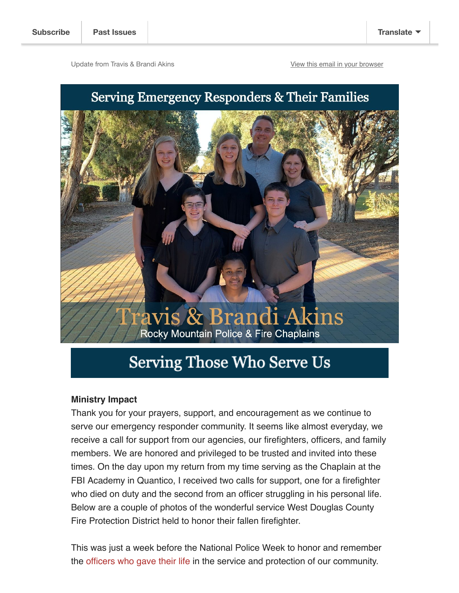Update from Travis & Brandi Akins [View this email in your browser](https://mailchi.mp/3851084c015d/team-akins-may2022?e=f295a911c1)

## Serving Emergency Responders & Their Families



## Serving Those Who Serve Us

## **Ministry Impact**

Thank you for your prayers, support, and encouragement as we continue to serve our emergency responder community. It seems like almost everyday, we receive a call for support from our agencies, our firefighters, officers, and family members. We are honored and privileged to be trusted and invited into these times. On the day upon my return from my time serving as the Chaplain at the FBI Academy in Quantico, I received two calls for support, one for a firefighter who died on duty and the second from an officer struggling in his personal life. Below are a couple of photos of the wonderful service West Douglas County Fire Protection District held to honor their fallen firefighter.

This was just a week before the National Police Week to honor and remember the [officers who gave their life](https://www.odmp.org/) in the service and protection of our community.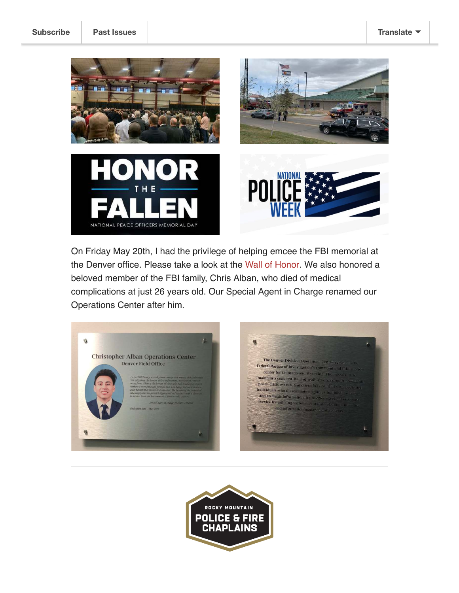

On Friday May 20th, I had the privilege of helping emcee the FBI memorial at the Denver office. Please take a look at the [Wall of Honor.](https://www.fbi.gov/history/wall-of-honor) We also honored a beloved member of the FBI family, Chris Alban, who died of medical complications at just 26 years old. Our Special Agent in Charge renamed our Operations Center after him.



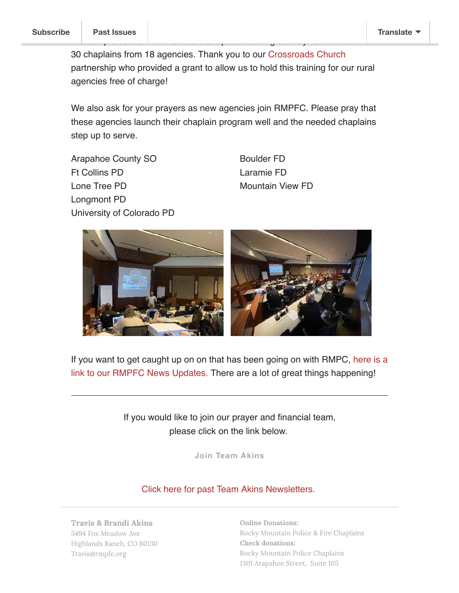30 chaplains from 18 agencies. Thank you to our [Crossroads Church](https://visitcrossroads.com/) partnership who provided a grant to allow us to hold this training for our rural agencies free of charge!

We complete the RMPFC Basic Chaplain Training on May 13-14 with Training on May 13-14 with Training on May 13-14 with Training and Training Section Training on May 13-14 with Training and Training Section Training and Trai

We also ask for your prayers as new agencies join RMPFC. Please pray that these agencies launch their chaplain program well and the needed chaplains step up to serve.

Arapahoe County SO Ft Collins PD Lone Tree PD Longmont PD University of Colorado PD Boulder FD Laramie FD Mountain View FD



[If you want to get caught up on on that has been going on with RMPC, here is a](https://us3.campaign-archive.com/home/?u=bbe80f60d38a221375b3985e7&id=430d98906e) link to our RMPFC News Updates. There are a lot of great things happening!

> If you would like to join our prayer and financial team, please click on the link below.

> > **[Join Team Akins](http://rmpfc.org/support)**

[Click here for past Team Akins Newsletters.](https://us18.campaign-archive.com/home/?u=e522f4ede344fb06e1a8ff131&id=64399c85b6) 

Travis & Brandi Akins 5494 Fox Meadow Ave Highlands Ranch, CO 80130 Travis@rmpfc.org

Online Donations: [Rocky Mountain Police & Fire Chaplains](http://rmpfc.org/support) Check donations: Rocky Mountain Police Chaplains 1301 Arapahoe Street, Suite 105